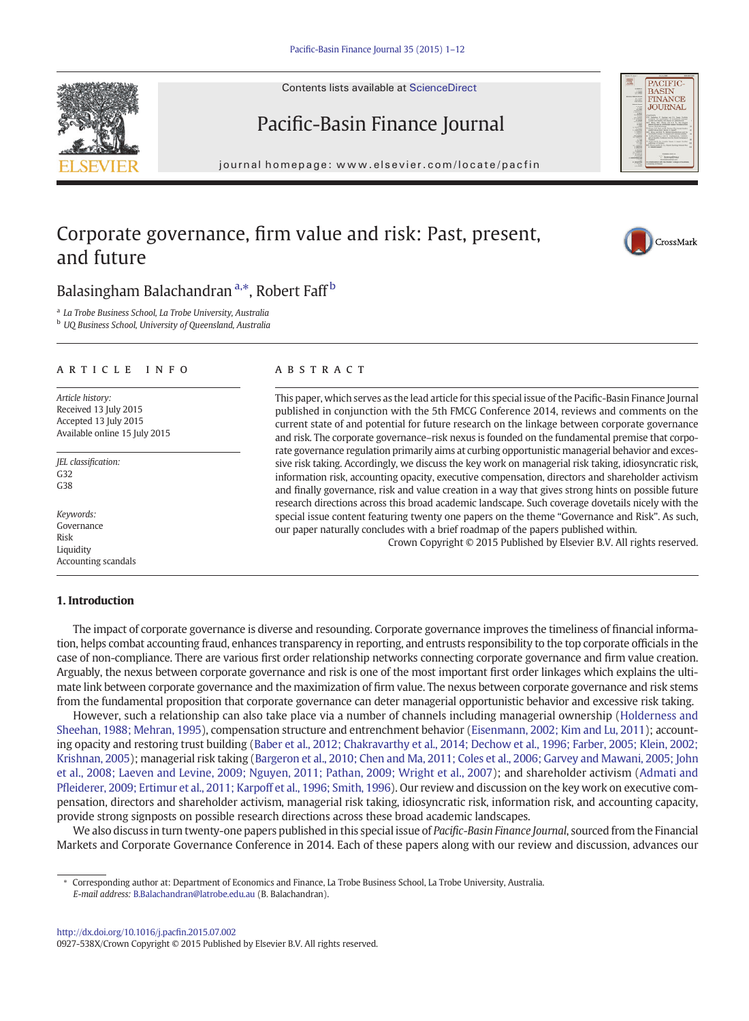Contents lists available at ScienceDirect



# Pacific-Basin Finance Journal

journal homepage: www.elsevier.com/locate/packing/ $p$ 

## Corporate governance, firm value and risk: Past, present, and future



### Balasingham Balachandran<sup>a,\*</sup>, Robert Faff<sup>b</sup>

<sup>a</sup> La Trobe Business School, La Trobe University, Australia

**b** UO Business School, University of Queensland, Australia

### article info abstract

Article history: Received 13 July 2015 Accepted 13 July 2015 Available online 15 July 2015

JEL classification: G32  $C38$ 

Keywords: Governance Risk Liquidity Accounting scandals

### 1. Introduction

This paper, which serves as the lead article for this special issue of the Pacific-Basin Finance Journal published in conjunction with the 5th FMCG Conference 2014, reviews and comments on the current state of and potential for future research on the linkage between corporate governance and risk. The corporate governance–risk nexus is founded on the fundamental premise that corporate governance regulation primarily aims at curbing opportunistic managerial behavior and excessive risk taking. Accordingly, we discuss the key work on managerial risk taking, idiosyncratic risk, information risk, accounting opacity, executive compensation, directors and shareholder activism and finally governance, risk and value creation in a way that gives strong hints on possible future research directions across this broad academic landscape. Such coverage dovetails nicely with the special issue content featuring twenty one papers on the theme "Governance and Risk". As such, our paper naturally concludes with a brief roadmap of the papers published within.

Crown Copyright © 2015 Published by Elsevier B.V. All rights reserved.

The impact of corporate governance is diverse and resounding. Corporate governance improves the timeliness of financial information, helps combat accounting fraud, enhances transparency in reporting, and entrusts responsibility to the top corporate officials in the case of non-compliance. There are various first order relationship networks connecting corporate governance and firm value creation. Arguably, the nexus between corporate governance and risk is one of the most important first order linkages which explains the ultimate link between corporate governance and the maximization of firm value. The nexus between corporate governance and risk stems from the fundamental proposition that corporate governance can deter managerial opportunistic behavior and excessive risk taking.

However, such a relationship can also take place via a number of channels including managerial ownership ([Holderness and](#page--1-0) [Sheehan, 1988; Mehran, 1995](#page--1-0)), compensation structure and entrenchment behavior ([Eisenmann, 2002; Kim and Lu, 2011\)](#page--1-0); accounting opacity and restoring trust building ([Baber et al., 2012; Chakravarthy et al., 2014; Dechow et al., 1996; Farber, 2005; Klein, 2002;](#page--1-0) [Krishnan, 2005](#page--1-0)); managerial risk taking [\(Bargeron et al., 2010; Chen and Ma, 2011; Coles et al., 2006; Garvey and Mawani, 2005; John](#page--1-0) [et al., 2008; Laeven and Levine, 2009; Nguyen, 2011; Pathan, 2009; Wright et al., 2007](#page--1-0)); and shareholder activism ([Admati and](#page--1-0) Pfl[eiderer, 2009; Ertimur et al., 2011; Karpoff et al., 1996; Smith, 1996\)](#page--1-0). Our review and discussion on the key work on executive compensation, directors and shareholder activism, managerial risk taking, idiosyncratic risk, information risk, and accounting capacity, provide strong signposts on possible research directions across these broad academic landscapes.

We also discuss in turn twenty-one papers published in this special issue of Pacific-Basin Finance Journal, sourced from the Financial Markets and Corporate Governance Conference in 2014. Each of these papers along with our review and discussion, advances our

<sup>⁎</sup> Corresponding author at: Department of Economics and Finance, La Trobe Business School, La Trobe University, Australia. E-mail address: [B.Balachandran@latrobe.edu.au](mailto:B.Balachandran@latrobe.edu.au) (B. Balachandran).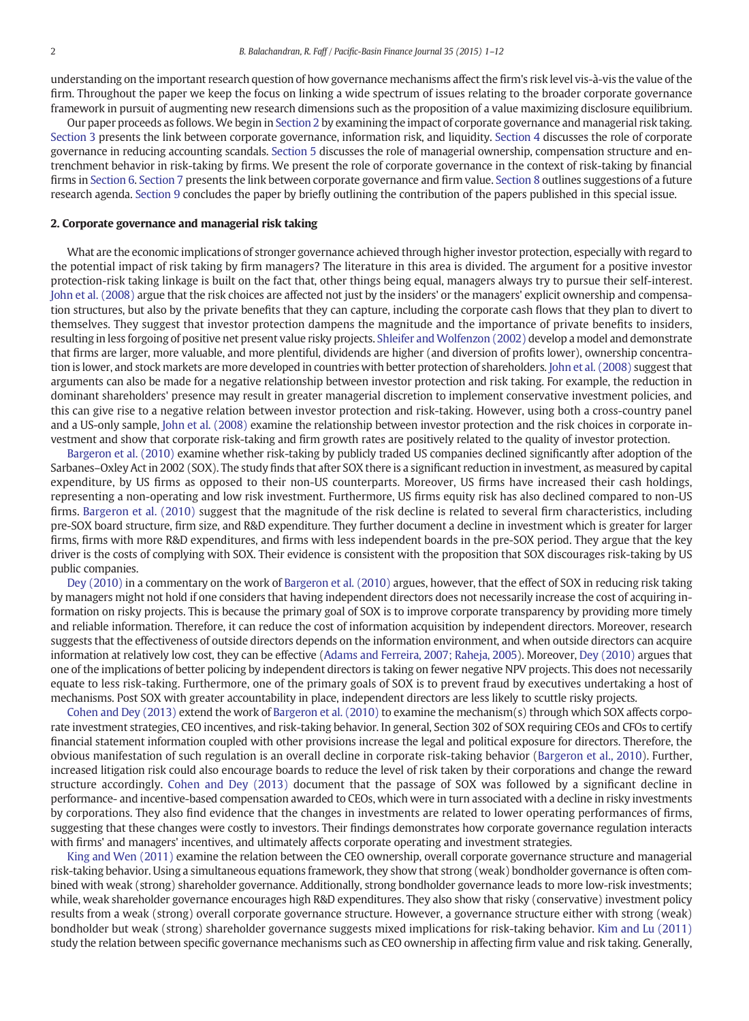understanding on the important research question of how governance mechanisms affect the firm's risk level vis-à-vis the value of the firm. Throughout the paper we keep the focus on linking a wide spectrum of issues relating to the broader corporate governance framework in pursuit of augmenting new research dimensions such as the proposition of a value maximizing disclosure equilibrium.

Our paper proceeds as follows.We begin in Section 2 by examining the impact of corporate governance and managerial risk taking. [Section 3](#page--1-0) presents the link between corporate governance, information risk, and liquidity. [Section 4](#page--1-0) discusses the role of corporate governance in reducing accounting scandals. [Section 5](#page--1-0) discusses the role of managerial ownership, compensation structure and entrenchment behavior in risk-taking by firms. We present the role of corporate governance in the context of risk-taking by financial firms in [Section 6.](#page--1-0) [Section 7](#page--1-0) presents the link between corporate governance and firm value. [Section 8](#page--1-0) outlines suggestions of a future research agenda. [Section 9](#page--1-0) concludes the paper by briefly outlining the contribution of the papers published in this special issue.

#### 2. Corporate governance and managerial risk taking

What are the economic implications of stronger governance achieved through higher investor protection, especially with regard to the potential impact of risk taking by firm managers? The literature in this area is divided. The argument for a positive investor protection-risk taking linkage is built on the fact that, other things being equal, managers always try to pursue their self-interest. [John et al. \(2008\)](#page--1-0) argue that the risk choices are affected not just by the insiders' or the managers' explicit ownership and compensation structures, but also by the private benefits that they can capture, including the corporate cash flows that they plan to divert to themselves. They suggest that investor protection dampens the magnitude and the importance of private benefits to insiders, resulting in less forgoing of positive net present value risky projects. [Shleifer and Wolfenzon \(2002\)](#page--1-0) develop a model and demonstrate that firms are larger, more valuable, and more plentiful, dividends are higher (and diversion of profits lower), ownership concentration is lower, and stock markets are more developed in countries with better protection of shareholders. [John et al. \(2008\)](#page--1-0) suggest that arguments can also be made for a negative relationship between investor protection and risk taking. For example, the reduction in dominant shareholders' presence may result in greater managerial discretion to implement conservative investment policies, and this can give rise to a negative relation between investor protection and risk-taking. However, using both a cross-country panel and a US-only sample, [John et al. \(2008\)](#page--1-0) examine the relationship between investor protection and the risk choices in corporate investment and show that corporate risk-taking and firm growth rates are positively related to the quality of investor protection.

[Bargeron et al. \(2010\)](#page--1-0) examine whether risk-taking by publicly traded US companies declined significantly after adoption of the Sarbanes–Oxley Act in 2002 (SOX). The study finds that after SOX there is a significant reduction in investment, as measured by capital expenditure, by US firms as opposed to their non-US counterparts. Moreover, US firms have increased their cash holdings, representing a non-operating and low risk investment. Furthermore, US firms equity risk has also declined compared to non-US firms. [Bargeron et al. \(2010\)](#page--1-0) suggest that the magnitude of the risk decline is related to several firm characteristics, including pre-SOX board structure, firm size, and R&D expenditure. They further document a decline in investment which is greater for larger firms, firms with more R&D expenditures, and firms with less independent boards in the pre-SOX period. They argue that the key driver is the costs of complying with SOX. Their evidence is consistent with the proposition that SOX discourages risk-taking by US public companies.

[Dey \(2010\)](#page--1-0) in a commentary on the work of [Bargeron et al. \(2010\)](#page--1-0) argues, however, that the effect of SOX in reducing risk taking by managers might not hold if one considers that having independent directors does not necessarily increase the cost of acquiring information on risky projects. This is because the primary goal of SOX is to improve corporate transparency by providing more timely and reliable information. Therefore, it can reduce the cost of information acquisition by independent directors. Moreover, research suggests that the effectiveness of outside directors depends on the information environment, and when outside directors can acquire information at relatively low cost, they can be effective ([Adams and Ferreira, 2007; Raheja, 2005\)](#page--1-0). Moreover, [Dey \(2010\)](#page--1-0) argues that one of the implications of better policing by independent directors is taking on fewer negative NPV projects. This does not necessarily equate to less risk-taking. Furthermore, one of the primary goals of SOX is to prevent fraud by executives undertaking a host of mechanisms. Post SOX with greater accountability in place, independent directors are less likely to scuttle risky projects.

[Cohen and Dey \(2013\)](#page--1-0) extend the work of [Bargeron et al. \(2010\)](#page--1-0) to examine the mechanism(s) through which SOX affects corporate investment strategies, CEO incentives, and risk-taking behavior. In general, Section 302 of SOX requiring CEOs and CFOs to certify financial statement information coupled with other provisions increase the legal and political exposure for directors. Therefore, the obvious manifestation of such regulation is an overall decline in corporate risk-taking behavior ([Bargeron et al., 2010](#page--1-0)). Further, increased litigation risk could also encourage boards to reduce the level of risk taken by their corporations and change the reward structure accordingly. [Cohen and Dey \(2013\)](#page--1-0) document that the passage of SOX was followed by a significant decline in performance- and incentive-based compensation awarded to CEOs, which were in turn associated with a decline in risky investments by corporations. They also find evidence that the changes in investments are related to lower operating performances of firms, suggesting that these changes were costly to investors. Their findings demonstrates how corporate governance regulation interacts with firms' and managers' incentives, and ultimately affects corporate operating and investment strategies.

[King and Wen \(2011\)](#page--1-0) examine the relation between the CEO ownership, overall corporate governance structure and managerial risk-taking behavior. Using a simultaneous equations framework, they show that strong (weak) bondholder governance is often combined with weak (strong) shareholder governance. Additionally, strong bondholder governance leads to more low-risk investments; while, weak shareholder governance encourages high R&D expenditures. They also show that risky (conservative) investment policy results from a weak (strong) overall corporate governance structure. However, a governance structure either with strong (weak) bondholder but weak (strong) shareholder governance suggests mixed implications for risk-taking behavior. [Kim and Lu \(2011\)](#page--1-0) study the relation between specific governance mechanisms such as CEO ownership in affecting firm value and risk taking. Generally,